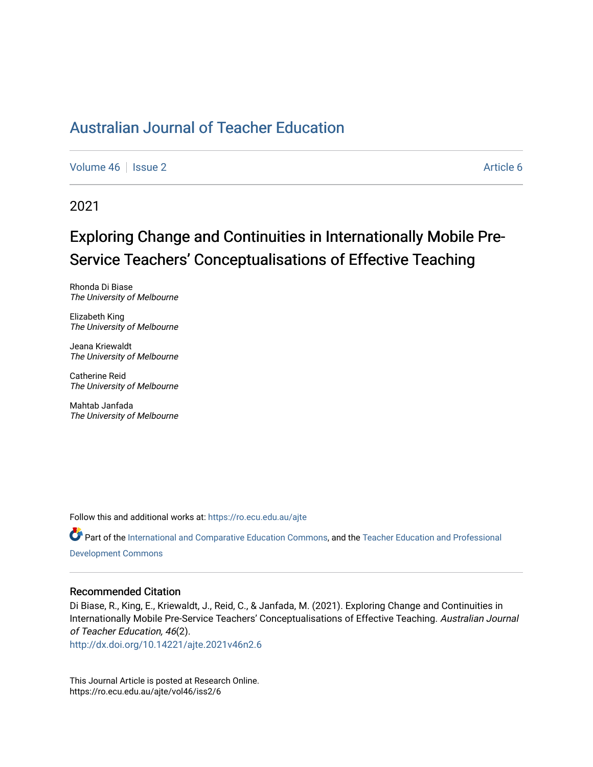[Volume 46](https://ro.ecu.edu.au/ajte/vol46) | [Issue 2](https://ro.ecu.edu.au/ajte/vol46/iss2) Article 6

2021

# Exploring Change and Continuities in Internationally Mobile Pre-Service Teachers' Conceptualisations of Effective Teaching

Rhonda Di Biase The University of Melbourne

Elizabeth King The University of Melbourne

Jeana Kriewaldt The University of Melbourne

Catherine Reid The University of Melbourne

Mahtab Janfada The University of Melbourne

Follow this and additional works at: [https://ro.ecu.edu.au/ajte](https://ro.ecu.edu.au/ajte?utm_source=ro.ecu.edu.au%2Fajte%2Fvol46%2Fiss2%2F6&utm_medium=PDF&utm_campaign=PDFCoverPages) 

Part of the [International and Comparative Education Commons](http://network.bepress.com/hgg/discipline/797?utm_source=ro.ecu.edu.au%2Fajte%2Fvol46%2Fiss2%2F6&utm_medium=PDF&utm_campaign=PDFCoverPages), and the [Teacher Education and Professional](http://network.bepress.com/hgg/discipline/803?utm_source=ro.ecu.edu.au%2Fajte%2Fvol46%2Fiss2%2F6&utm_medium=PDF&utm_campaign=PDFCoverPages) [Development Commons](http://network.bepress.com/hgg/discipline/803?utm_source=ro.ecu.edu.au%2Fajte%2Fvol46%2Fiss2%2F6&utm_medium=PDF&utm_campaign=PDFCoverPages)

#### Recommended Citation

Di Biase, R., King, E., Kriewaldt, J., Reid, C., & Janfada, M. (2021). Exploring Change and Continuities in Internationally Mobile Pre-Service Teachers' Conceptualisations of Effective Teaching. Australian Journal of Teacher Education, 46(2).

<http://dx.doi.org/10.14221/ajte.2021v46n2.6>

This Journal Article is posted at Research Online. https://ro.ecu.edu.au/ajte/vol46/iss2/6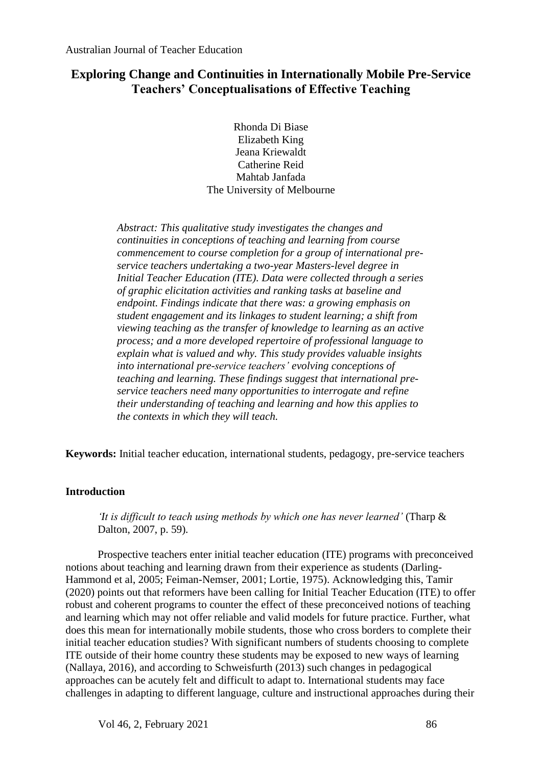## **Exploring Change and Continuities in Internationally Mobile Pre-Service Teachers' Conceptualisations of Effective Teaching**

Rhonda Di Biase Elizabeth King Jeana Kriewaldt Catherine Reid Mahtab Janfada The University of Melbourne

*Abstract: This qualitative study investigates the changes and continuities in conceptions of teaching and learning from course commencement to course completion for a group of international preservice teachers undertaking a two-year Masters-level degree in Initial Teacher Education (ITE). Data were collected through a series of graphic elicitation activities and ranking tasks at baseline and endpoint. Findings indicate that there was: a growing emphasis on student engagement and its linkages to student learning; a shift from viewing teaching as the transfer of knowledge to learning as an active process; and a more developed repertoire of professional language to explain what is valued and why. This study provides valuable insights into international pre-service teachers' evolving conceptions of teaching and learning. These findings suggest that international preservice teachers need many opportunities to interrogate and refine their understanding of teaching and learning and how this applies to the contexts in which they will teach.* 

**Keywords:** Initial teacher education, international students, pedagogy, pre-service teachers

## **Introduction**

*'It is difficult to teach using methods by which one has never learned'* (Tharp & Dalton, 2007, p. 59)*.* 

Prospective teachers enter initial teacher education (ITE) programs with preconceived notions about teaching and learning drawn from their experience as students (Darling-Hammond et al, 2005; Feiman-Nemser, 2001; Lortie, 1975). Acknowledging this, Tamir (2020) points out that reformers have been calling for Initial Teacher Education (ITE) to offer robust and coherent programs to counter the effect of these preconceived notions of teaching and learning which may not offer reliable and valid models for future practice. Further, what does this mean for internationally mobile students, those who cross borders to complete their initial teacher education studies? With significant numbers of students choosing to complete ITE outside of their home country these students may be exposed to new ways of learning (Nallaya, 2016), and according to Schweisfurth (2013) such changes in pedagogical approaches can be acutely felt and difficult to adapt to. International students may face challenges in adapting to different language, culture and instructional approaches during their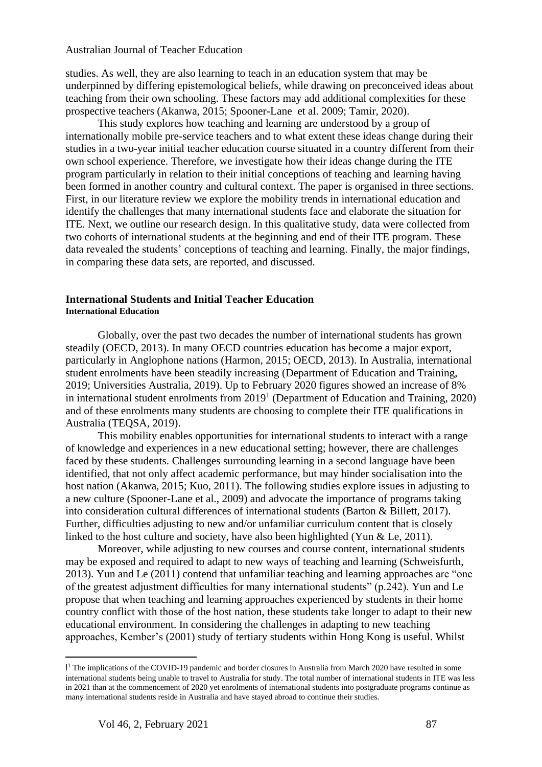studies. As well, they are also learning to teach in an education system that may be underpinned by differing epistemological beliefs, while drawing on preconceived ideas about teaching from their own schooling. These factors may add additional complexities for these prospective teachers (Akanwa, 2015; Spooner-Lane et al. 2009; Tamir, 2020).

This study explores how teaching and learning are understood by a group of internationally mobile pre-service teachers and to what extent these ideas change during their studies in a two-year initial teacher education course situated in a country different from their own school experience. Therefore, we investigate how their ideas change during the ITE program particularly in relation to their initial conceptions of teaching and learning having been formed in another country and cultural context. The paper is organised in three sections. First, in our literature review we explore the mobility trends in international education and identify the challenges that many international students face and elaborate the situation for ITE. Next, we outline our research design. In this qualitative study, data were collected from two cohorts of international students at the beginning and end of their ITE program. These data revealed the students' conceptions of teaching and learning. Finally, the major findings, in comparing these data sets, are reported, and discussed.

#### **International Students and Initial Teacher Education International Education**

Globally, over the past two decades the number of international students has grown steadily (OECD, 2013). In many OECD countries education has become a major export, particularly in Anglophone nations (Harmon, 2015; OECD, 2013). In Australia, international student enrolments have been steadily increasing (Department of Education and Training, 2019; Universities Australia, 2019). Up to February 2020 figures showed an increase of 8% in international student enrolments from 2019<sup>1</sup> (Department of Education and Training, 2020) and of these enrolments many students are choosing to complete their ITE qualifications in Australia (TEQSA, 2019).

This mobility enables opportunities for international students to interact with a range of knowledge and experiences in a new educational setting; however, there are challenges faced by these students. Challenges surrounding learning in a second language have been identified, that not only affect academic performance, but may hinder socialisation into the host nation (Akanwa, 2015; Kuo, 2011). The following studies explore issues in adjusting to a new culture (Spooner-Lane et al., 2009) and advocate the importance of programs taking into consideration cultural differences of international students (Barton & Billett, 2017). Further, difficulties adjusting to new and/or unfamiliar curriculum content that is closely linked to the host culture and society, have also been highlighted (Yun & Le, 2011).

Moreover, while adjusting to new courses and course content, international students may be exposed and required to adapt to new ways of teaching and learning (Schweisfurth, 2013). Yun and Le (2011) contend that unfamiliar teaching and learning approaches are "one of the greatest adjustment difficulties for many international students" (p.242). Yun and Le propose that when teaching and learning approaches experienced by students in their home country conflict with those of the host nation, these students take longer to adapt to their new educational environment. In considering the challenges in adapting to new teaching approaches, Kember's (2001) study of tertiary students within Hong Kong is useful. Whilst

<sup>&</sup>lt;sup>14</sup> The implications of the COVID-19 pandemic and border closures in Australia from March 2020 have resulted in some international students being unable to travel to Australia for study. The total number of international students in ITE was less in 2021 than at the commencement of 2020 yet enrolments of international students into postgraduate programs continue as many international students reside in Australia and have stayed abroad to continue their studies.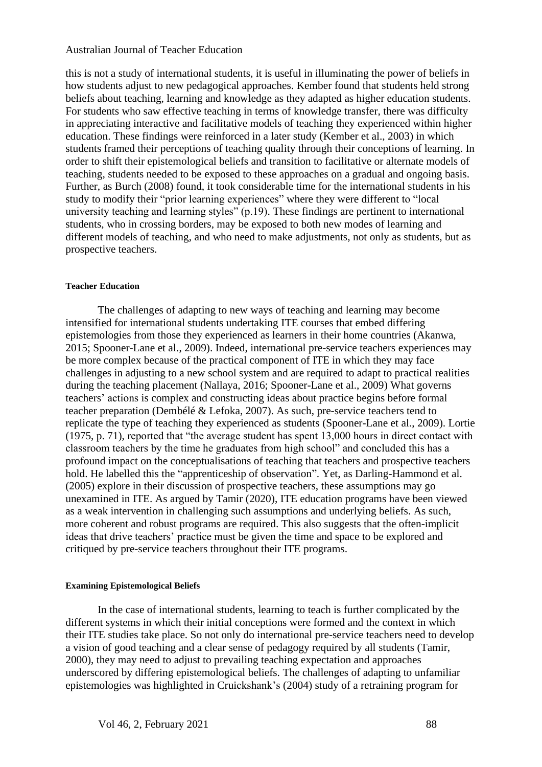this is not a study of international students, it is useful in illuminating the power of beliefs in how students adjust to new pedagogical approaches. Kember found that students held strong beliefs about teaching, learning and knowledge as they adapted as higher education students. For students who saw effective teaching in terms of knowledge transfer, there was difficulty in appreciating interactive and facilitative models of teaching they experienced within higher education. These findings were reinforced in a later study (Kember et al., 2003) in which students framed their perceptions of teaching quality through their conceptions of learning. In order to shift their epistemological beliefs and transition to facilitative or alternate models of teaching, students needed to be exposed to these approaches on a gradual and ongoing basis. Further, as Burch (2008) found, it took considerable time for the international students in his study to modify their "prior learning experiences" where they were different to "local university teaching and learning styles" (p.19). These findings are pertinent to international students, who in crossing borders, may be exposed to both new modes of learning and different models of teaching, and who need to make adjustments, not only as students, but as prospective teachers.

#### **Teacher Education**

The challenges of adapting to new ways of teaching and learning may become intensified for international students undertaking ITE courses that embed differing epistemologies from those they experienced as learners in their home countries (Akanwa, 2015; Spooner-Lane et al., 2009). Indeed, international pre-service teachers experiences may be more complex because of the practical component of ITE in which they may face challenges in adjusting to a new school system and are required to adapt to practical realities during the teaching placement (Nallaya, 2016; Spooner-Lane et al., 2009) What governs teachers' actions is complex and constructing ideas about practice begins before formal teacher preparation (Dembélé & Lefoka, 2007). As such, pre-service teachers tend to replicate the type of teaching they experienced as students (Spooner-Lane et al., 2009). Lortie (1975, p. 71), reported that "the average student has spent 13,000 hours in direct contact with classroom teachers by the time he graduates from high school" and concluded this has a profound impact on the conceptualisations of teaching that teachers and prospective teachers hold. He labelled this the "apprenticeship of observation". Yet, as Darling-Hammond et al. (2005) explore in their discussion of prospective teachers, these assumptions may go unexamined in ITE. As argued by Tamir (2020), ITE education programs have been viewed as a weak intervention in challenging such assumptions and underlying beliefs. As such, more coherent and robust programs are required. This also suggests that the often-implicit ideas that drive teachers' practice must be given the time and space to be explored and critiqued by pre-service teachers throughout their ITE programs.

#### **Examining Epistemological Beliefs**

In the case of international students, learning to teach is further complicated by the different systems in which their initial conceptions were formed and the context in which their ITE studies take place. So not only do international pre-service teachers need to develop a vision of good teaching and a clear sense of pedagogy required by all students (Tamir, 2000), they may need to adjust to prevailing teaching expectation and approaches underscored by differing epistemological beliefs. The challenges of adapting to unfamiliar epistemologies was highlighted in Cruickshank's (2004) study of a retraining program for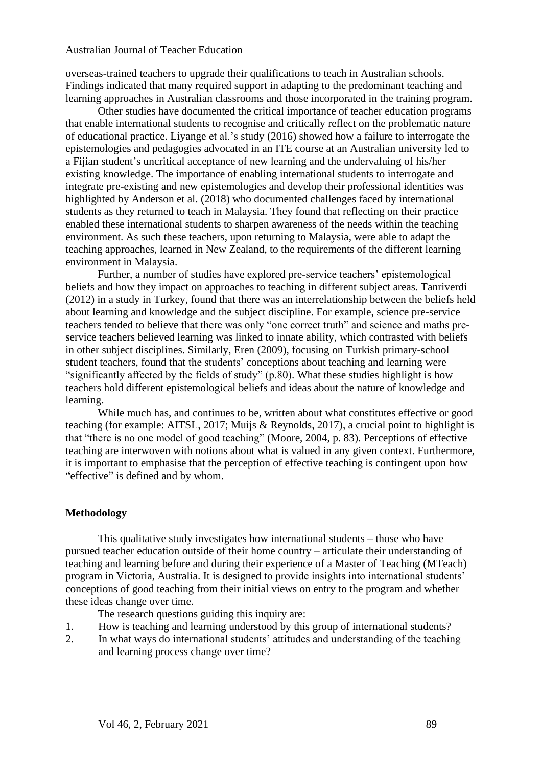overseas-trained teachers to upgrade their qualifications to teach in Australian schools. Findings indicated that many required support in adapting to the predominant teaching and learning approaches in Australian classrooms and those incorporated in the training program.

Other studies have documented the critical importance of teacher education programs that enable international students to recognise and critically reflect on the problematic nature of educational practice. Liyange et al.'s study (2016) showed how a failure to interrogate the epistemologies and pedagogies advocated in an ITE course at an Australian university led to a Fijian student's uncritical acceptance of new learning and the undervaluing of his/her existing knowledge. The importance of enabling international students to interrogate and integrate pre-existing and new epistemologies and develop their professional identities was highlighted by Anderson et al. (2018) who documented challenges faced by international students as they returned to teach in Malaysia. They found that reflecting on their practice enabled these international students to sharpen awareness of the needs within the teaching environment. As such these teachers, upon returning to Malaysia, were able to adapt the teaching approaches, learned in New Zealand, to the requirements of the different learning environment in Malaysia.

Further, a number of studies have explored pre-service teachers' epistemological beliefs and how they impact on approaches to teaching in different subject areas. Tanriverdi (2012) in a study in Turkey, found that there was an interrelationship between the beliefs held about learning and knowledge and the subject discipline. For example, science pre-service teachers tended to believe that there was only "one correct truth" and science and maths preservice teachers believed learning was linked to innate ability, which contrasted with beliefs in other subject disciplines. Similarly, Eren (2009), focusing on Turkish primary-school student teachers, found that the students' conceptions about teaching and learning were "significantly affected by the fields of study" (p.80). What these studies highlight is how teachers hold different epistemological beliefs and ideas about the nature of knowledge and learning.

While much has, and continues to be, written about what constitutes effective or good teaching (for example: AITSL, 2017; Muijs & Reynolds, 2017), a crucial point to highlight is that "there is no one model of good teaching" (Moore, 2004, p. 83). Perceptions of effective teaching are interwoven with notions about what is valued in any given context. Furthermore, it is important to emphasise that the perception of effective teaching is contingent upon how "effective" is defined and by whom.

#### **Methodology**

This qualitative study investigates how international students – those who have pursued teacher education outside of their home country – articulate their understanding of teaching and learning before and during their experience of a Master of Teaching (MTeach) program in Victoria, Australia. It is designed to provide insights into international students' conceptions of good teaching from their initial views on entry to the program and whether these ideas change over time.

The research questions guiding this inquiry are:

- 1. How is teaching and learning understood by this group of international students?
- 2. In what ways do international students' attitudes and understanding of the teaching and learning process change over time?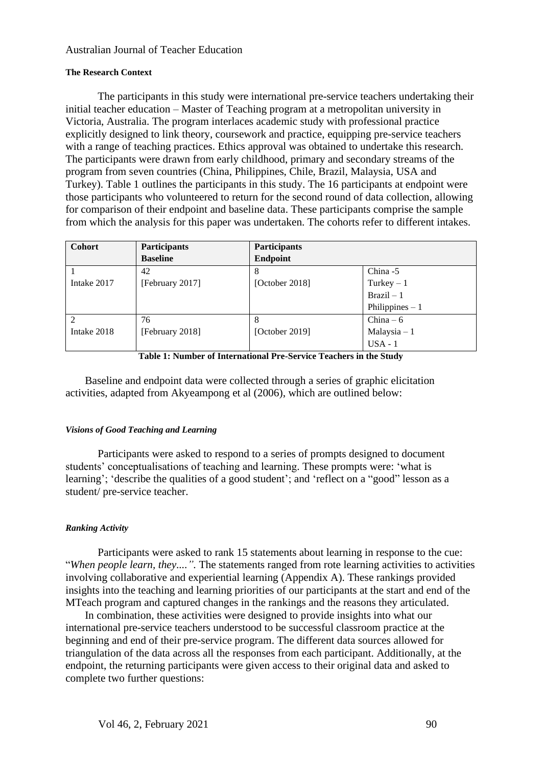#### **The Research Context**

The participants in this study were international pre-service teachers undertaking their initial teacher education – Master of Teaching program at a metropolitan university in Victoria, Australia. The program interlaces academic study with professional practice explicitly designed to link theory, coursework and practice, equipping pre-service teachers with a range of teaching practices. Ethics approval was obtained to undertake this research. The participants were drawn from early childhood, primary and secondary streams of the program from seven countries (China, Philippines, Chile, Brazil, Malaysia, USA and Turkey). Table 1 outlines the participants in this study. The 16 participants at endpoint were those participants who volunteered to return for the second round of data collection, allowing for comparison of their endpoint and baseline data. These participants comprise the sample from which the analysis for this paper was undertaken. The cohorts refer to different intakes.

| <b>Cohort</b> | <b>Participants</b> | <b>Participants</b> |                     |
|---------------|---------------------|---------------------|---------------------|
|               | <b>Baseline</b>     | <b>Endpoint</b>     |                     |
|               | 42                  |                     | China -5            |
| Intake 2017   | [February 2017]     | [October 2018]      | Turkey $-1$         |
|               |                     |                     | $\text{Brazil} - 1$ |
|               |                     |                     | Philippines $-1$    |
|               | 76                  |                     | $China - 6$         |
| Intake 2018   | [February 2018]     | [October 2019]      | Malaysia $-1$       |
|               |                     |                     | $USA - 1$           |

**Table 1: Number of International Pre-Service Teachers in the Study**

Baseline and endpoint data were collected through a series of graphic elicitation activities, adapted from Akyeampong et al (2006), which are outlined below:

## *Visions of Good Teaching and Learning*

Participants were asked to respond to a series of prompts designed to document students' conceptualisations of teaching and learning. These prompts were: 'what is learning'; 'describe the qualities of a good student'; and 'reflect on a "good" lesson as a student/ pre-service teacher.

## *Ranking Activity*

Participants were asked to rank 15 statements about learning in response to the cue: "*When people learn, they....".* The statements ranged from rote learning activities to activities involving collaborative and experiential learning (Appendix A). These rankings provided insights into the teaching and learning priorities of our participants at the start and end of the MTeach program and captured changes in the rankings and the reasons they articulated.

In combination, these activities were designed to provide insights into what our international pre-service teachers understood to be successful classroom practice at the beginning and end of their pre-service program. The different data sources allowed for triangulation of the data across all the responses from each participant. Additionally, at the endpoint, the returning participants were given access to their original data and asked to complete two further questions: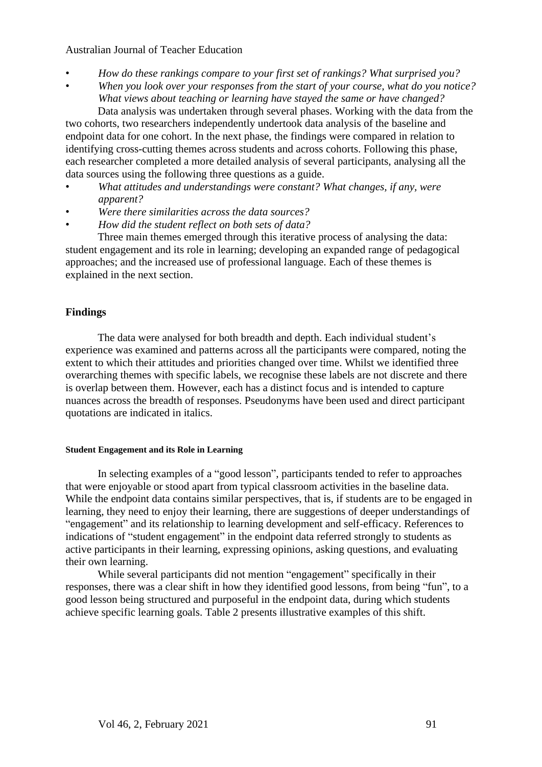- *How do these rankings compare to your first set of rankings? What surprised you?*
- *When you look over your responses from the start of your course, what do you notice? What views about teaching or learning have stayed the same or have changed?*  Data analysis was undertaken through several phases. Working with the data from the

two cohorts, two researchers independently undertook data analysis of the baseline and endpoint data for one cohort. In the next phase, the findings were compared in relation to identifying cross-cutting themes across students and across cohorts. Following this phase, each researcher completed a more detailed analysis of several participants, analysing all the data sources using the following three questions as a guide.

- *What attitudes and understandings were constant? What changes, if any, were apparent?*
- *Were there similarities across the data sources?*
- *How did the student reflect on both sets of data?*

Three main themes emerged through this iterative process of analysing the data: student engagement and its role in learning; developing an expanded range of pedagogical approaches; and the increased use of professional language. Each of these themes is explained in the next section.

## **Findings**

The data were analysed for both breadth and depth. Each individual student's experience was examined and patterns across all the participants were compared, noting the extent to which their attitudes and priorities changed over time. Whilst we identified three overarching themes with specific labels, we recognise these labels are not discrete and there is overlap between them. However, each has a distinct focus and is intended to capture nuances across the breadth of responses. Pseudonyms have been used and direct participant quotations are indicated in italics.

#### **Student Engagement and its Role in Learning**

In selecting examples of a "good lesson", participants tended to refer to approaches that were enjoyable or stood apart from typical classroom activities in the baseline data. While the endpoint data contains similar perspectives, that is, if students are to be engaged in learning, they need to enjoy their learning, there are suggestions of deeper understandings of "engagement" and its relationship to learning development and self-efficacy. References to indications of "student engagement" in the endpoint data referred strongly to students as active participants in their learning, expressing opinions, asking questions, and evaluating their own learning.

While several participants did not mention "engagement" specifically in their responses, there was a clear shift in how they identified good lessons, from being "fun", to a good lesson being structured and purposeful in the endpoint data, during which students achieve specific learning goals. Table 2 presents illustrative examples of this shift.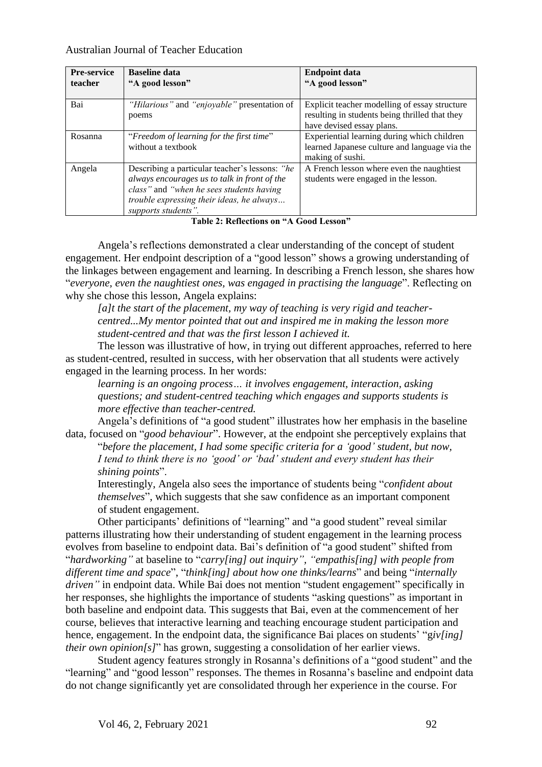| <b>Pre-service</b><br>teacher | <b>Baseline data</b><br>"A good lesson"                                                                                                                                                                        | <b>Endpoint data</b><br>"A good lesson"                                                                                      |
|-------------------------------|----------------------------------------------------------------------------------------------------------------------------------------------------------------------------------------------------------------|------------------------------------------------------------------------------------------------------------------------------|
| Bai                           | "Hilarious" and "enjoyable" presentation of<br>poems                                                                                                                                                           | Explicit teacher modelling of essay structure<br>resulting in students being thrilled that they<br>have devised essay plans. |
| Rosanna                       | "Freedom of learning for the first time"<br>without a textbook                                                                                                                                                 | Experiential learning during which children<br>learned Japanese culture and language via the<br>making of sushi.             |
| Angela                        | Describing a particular teacher's lessons: "he<br>always encourages us to talk in front of the<br>class" and "when he sees students having<br>trouble expressing their ideas, he always<br>supports students". | A French lesson where even the naughtiest<br>students were engaged in the lesson.                                            |

**Table 2: Reflections on "A Good Lesson"**

Angela's reflections demonstrated a clear understanding of the concept of student engagement. Her endpoint description of a "good lesson" shows a growing understanding of the linkages between engagement and learning. In describing a French lesson, she shares how "*everyone, even the naughtiest ones, was engaged in practising the language*". Reflecting on why she chose this lesson, Angela explains:

*[a]t the start of the placement, my way of teaching is very rigid and teachercentred...My mentor pointed that out and inspired me in making the lesson more student-centred and that was the first lesson I achieved it.*

The lesson was illustrative of how, in trying out different approaches, referred to here as student-centred, resulted in success, with her observation that all students were actively engaged in the learning process. In her words:

*learning is an ongoing process… it involves engagement, interaction, asking questions; and student-centred teaching which engages and supports students is more effective than teacher-centred.*

Angela's definitions of "a good student" illustrates how her emphasis in the baseline data, focused on "*good behaviour*". However, at the endpoint she perceptively explains that

"*before the placement, I had some specific criteria for a 'good' student, but now, I tend to think there is no 'good' or 'bad' student and every student has their shining points*".

Interestingly, Angela also sees the importance of students being "*confident about themselves*", which suggests that she saw confidence as an important component of student engagement.

Other participants' definitions of "learning" and "a good student" reveal similar patterns illustrating how their understanding of student engagement in the learning process evolves from baseline to endpoint data. Bai's definition of "a good student" shifted from "*hardworking"* at baseline to "*carry[ing] out inquiry", "empathis[ing] with people from different time and space*", "*think[ing] about how one thinks/learns*" and being "*internally driven*" in endpoint data. While Bai does not mention "student engagement" specifically in her responses, she highlights the importance of students "asking questions" as important in both baseline and endpoint data. This suggests that Bai, even at the commencement of her course, believes that interactive learning and teaching encourage student participation and hence, engagement. In the endpoint data, the significance Bai places on students' "giv[ing] *their own opinion[s]*" has grown, suggesting a consolidation of her earlier views.

Student agency features strongly in Rosanna's definitions of a "good student" and the "learning" and "good lesson" responses. The themes in Rosanna's baseline and endpoint data do not change significantly yet are consolidated through her experience in the course. For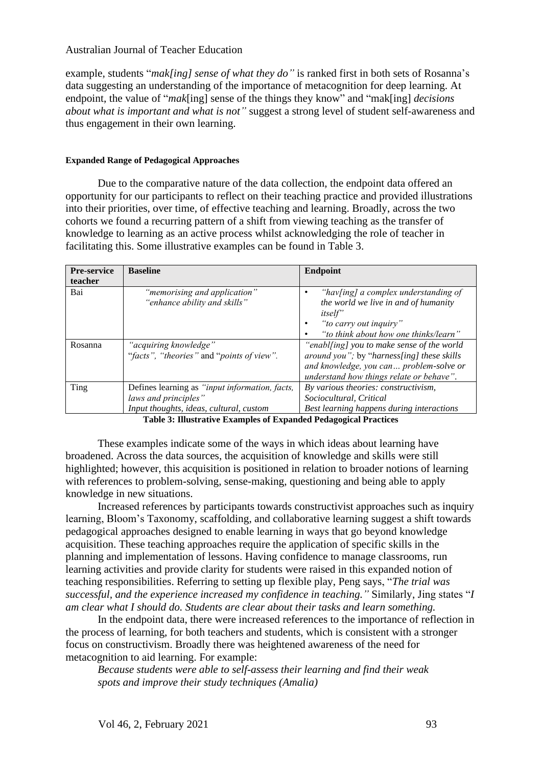example, students "*mak[ing] sense of what they do"* is ranked first in both sets of Rosanna's data suggesting an understanding of the importance of metacognition for deep learning. At endpoint, the value of "*mak*[ing] sense of the things they know" and "mak[ing] *decisions about what is important and what is not"* suggest a strong level of student self-awareness and thus engagement in their own learning.

#### **Expanded Range of Pedagogical Approaches**

Due to the comparative nature of the data collection, the endpoint data offered an opportunity for our participants to reflect on their teaching practice and provided illustrations into their priorities, over time, of effective teaching and learning. Broadly, across the two cohorts we found a recurring pattern of a shift from viewing teaching as the transfer of knowledge to learning as an active process whilst acknowledging the role of teacher in facilitating this. Some illustrative examples can be found in Table 3.

| <b>Pre-service</b> | <b>Baseline</b>                                                                                                   | <b>Endpoint</b>                                                                                                                                                                 |
|--------------------|-------------------------------------------------------------------------------------------------------------------|---------------------------------------------------------------------------------------------------------------------------------------------------------------------------------|
| teacher            |                                                                                                                   |                                                                                                                                                                                 |
| Bai                | "memorising and application"<br>"enhance ability and skills"                                                      | "hav[ing] a complex understanding of<br>the world we live in and of humanity<br><i>itself</i> "<br>"to carry out inquiry"<br>"to think about how one thinks/learn"              |
| Rosanna            | "acquiring knowledge"<br>"facts", "theories" and "points of view".                                                | "enabl[ing] you to make sense of the world<br>around you"; by "harness[ing] these skills<br>and knowledge, you can problem-solve or<br>understand how things relate or behave". |
| Ting               | Defines learning as "input information, facts,<br>laws and principles"<br>Input thoughts, ideas, cultural, custom | By various theories: constructivism,<br>Sociocultural, Critical<br>Best learning happens during interactions                                                                    |

**Table 3: Illustrative Examples of Expanded Pedagogical Practices**

These examples indicate some of the ways in which ideas about learning have broadened. Across the data sources, the acquisition of knowledge and skills were still highlighted; however, this acquisition is positioned in relation to broader notions of learning with references to problem-solving, sense-making, questioning and being able to apply knowledge in new situations.

Increased references by participants towards constructivist approaches such as inquiry learning, Bloom's Taxonomy, scaffolding, and collaborative learning suggest a shift towards pedagogical approaches designed to enable learning in ways that go beyond knowledge acquisition. These teaching approaches require the application of specific skills in the planning and implementation of lessons. Having confidence to manage classrooms, run learning activities and provide clarity for students were raised in this expanded notion of teaching responsibilities. Referring to setting up flexible play, Peng says, "*The trial was successful, and the experience increased my confidence in teaching."* Similarly, Jing states "*I am clear what I should do. Students are clear about their tasks and learn something.*

In the endpoint data, there were increased references to the importance of reflection in the process of learning, for both teachers and students, which is consistent with a stronger focus on constructivism. Broadly there was heightened awareness of the need for metacognition to aid learning. For example:

*Because students were able to self-assess their learning and find their weak spots and improve their study techniques (Amalia)*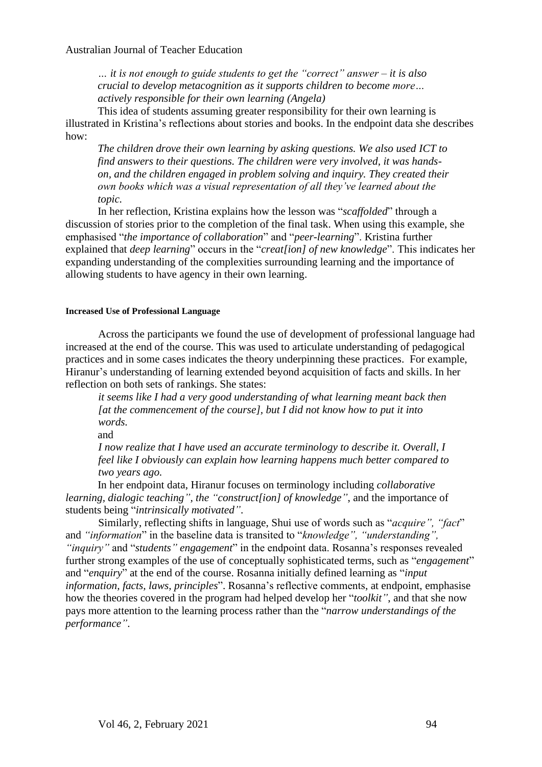*… it is not enough to guide students to get the "correct" answer – it is also crucial to develop metacognition as it supports children to become more… actively responsible for their own learning (Angela)*

This idea of students assuming greater responsibility for their own learning is illustrated in Kristina's reflections about stories and books. In the endpoint data she describes how:

*The children drove their own learning by asking questions. We also used ICT to find answers to their questions. The children were very involved, it was handson, and the children engaged in problem solving and inquiry. They created their own books which was a visual representation of all they've learned about the topic.*

In her reflection, Kristina explains how the lesson was "*scaffolded*" through a discussion of stories prior to the completion of the final task. When using this example, she emphasised "*the importance of collaboration*" and "*peer-learning*". Kristina further explained that *deep learning*" occurs in the "*creat[ion] of new knowledge*". This indicates her expanding understanding of the complexities surrounding learning and the importance of allowing students to have agency in their own learning.

#### **Increased Use of Professional Language**

Across the participants we found the use of development of professional language had increased at the end of the course. This was used to articulate understanding of pedagogical practices and in some cases indicates the theory underpinning these practices. For example, Hiranur's understanding of learning extended beyond acquisition of facts and skills. In her reflection on both sets of rankings. She states:

*it seems like I had a very good understanding of what learning meant back then [at the commencement of the course], but I did not know how to put it into words.*

and

*I now realize that I have used an accurate terminology to describe it. Overall, I feel like I obviously can explain how learning happens much better compared to two years ago.*

In her endpoint data, Hiranur focuses on terminology including *collaborative learning, dialogic teaching", the "construct[ion] of knowledge"*, and the importance of students being "*intrinsically motivated"*.

Similarly, reflecting shifts in language, Shui use of words such as "*acquire", "fact*" and *"information*" in the baseline data is transited to "*knowledge", "understanding", "inquiry"* and "*students" engagement*" in the endpoint data. Rosanna's responses revealed further strong examples of the use of conceptually sophisticated terms, such as "*engagement*" and "*enquiry*" at the end of the course. Rosanna initially defined learning as "*input information, facts, laws, principles*". Rosanna's reflective comments, at endpoint, emphasise how the theories covered in the program had helped develop her "*toolkit"*, and that she now pays more attention to the learning process rather than the "*narrow understandings of the performance"*.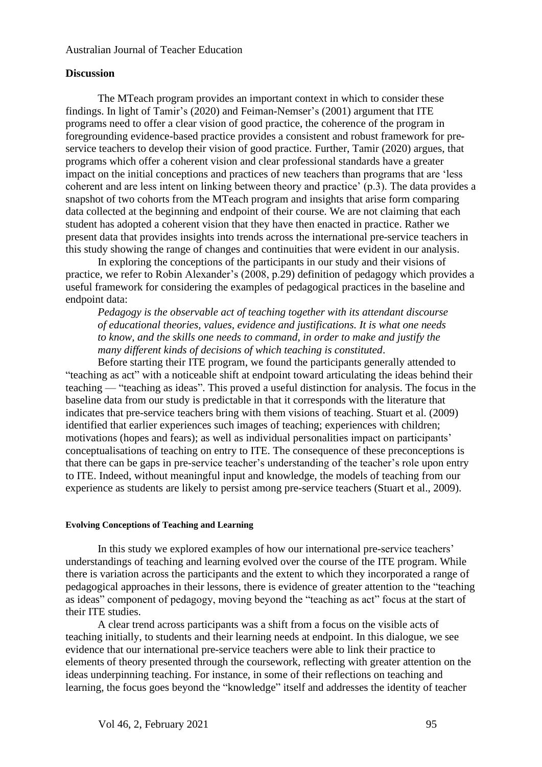## **Discussion**

The MTeach program provides an important context in which to consider these findings. In light of Tamir's (2020) and Feiman-Nemser's (2001) argument that ITE programs need to offer a clear vision of good practice, the coherence of the program in foregrounding evidence-based practice provides a consistent and robust framework for preservice teachers to develop their vision of good practice. Further, Tamir (2020) argues, that programs which offer a coherent vision and clear professional standards have a greater impact on the initial conceptions and practices of new teachers than programs that are 'less coherent and are less intent on linking between theory and practice' (p.3). The data provides a snapshot of two cohorts from the MTeach program and insights that arise form comparing data collected at the beginning and endpoint of their course. We are not claiming that each student has adopted a coherent vision that they have then enacted in practice. Rather we present data that provides insights into trends across the international pre-service teachers in this study showing the range of changes and continuities that were evident in our analysis.

In exploring the conceptions of the participants in our study and their visions of practice, we refer to Robin Alexander's (2008, p.29) definition of pedagogy which provides a useful framework for considering the examples of pedagogical practices in the baseline and endpoint data:

*Pedagogy is the observable act of teaching together with its attendant discourse of educational theories, values, evidence and justifications. It is what one needs to know, and the skills one needs to command, in order to make and justify the many different kinds of decisions of which teaching is constituted*.

Before starting their ITE program, we found the participants generally attended to "teaching as act" with a noticeable shift at endpoint toward articulating the ideas behind their teaching — "teaching as ideas". This proved a useful distinction for analysis. The focus in the baseline data from our study is predictable in that it corresponds with the literature that indicates that pre-service teachers bring with them visions of teaching. Stuart et al. (2009) identified that earlier experiences such images of teaching; experiences with children; motivations (hopes and fears); as well as individual personalities impact on participants' conceptualisations of teaching on entry to ITE. The consequence of these preconceptions is that there can be gaps in pre-service teacher's understanding of the teacher's role upon entry to ITE. Indeed, without meaningful input and knowledge, the models of teaching from our experience as students are likely to persist among pre-service teachers (Stuart et al., 2009).

#### **Evolving Conceptions of Teaching and Learning**

In this study we explored examples of how our international pre-service teachers' understandings of teaching and learning evolved over the course of the ITE program. While there is variation across the participants and the extent to which they incorporated a range of pedagogical approaches in their lessons, there is evidence of greater attention to the "teaching as ideas" component of pedagogy, moving beyond the "teaching as act" focus at the start of their ITE studies.

A clear trend across participants was a shift from a focus on the visible acts of teaching initially, to students and their learning needs at endpoint. In this dialogue, we see evidence that our international pre-service teachers were able to link their practice to elements of theory presented through the coursework, reflecting with greater attention on the ideas underpinning teaching. For instance, in some of their reflections on teaching and learning, the focus goes beyond the "knowledge" itself and addresses the identity of teacher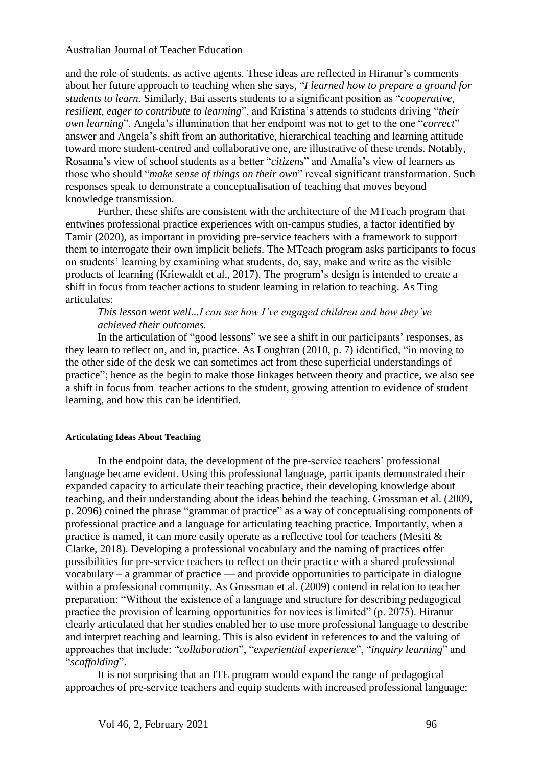and the role of students, as active agents. These ideas are reflected in Hiranur's comments about her future approach to teaching when she says, "*I learned how to prepare a ground for students to learn.* Similarly, Bai asserts students to a significant position as "*cooperative, resilient, eager to contribute to learning*", and Kristina's attends to students driving "*their own learning*". Angela's illumination that her endpoint was not to get to the one "*correct*" answer and Angela's shift from an authoritative, hierarchical teaching and learning attitude toward more student-centred and collaborative one, are illustrative of these trends. Notably, Rosanna's view of school students as a better "*citizens*" and Amalia's view of learners as those who should "*make sense of things on their own*" reveal significant transformation. Such responses speak to demonstrate a conceptualisation of teaching that moves beyond knowledge transmission.

Further, these shifts are consistent with the architecture of the MTeach program that entwines professional practice experiences with on-campus studies, a factor identified by Tamir (2020), as important in providing pre-service teachers with a framework to support them to interrogate their own implicit beliefs. The MTeach program asks participants to focus on students' learning by examining what students, do, say, make and write as the visible products of learning (Kriewaldt et al., 2017). The program's design is intended to create a shift in focus from teacher actions to student learning in relation to teaching. As Ting articulates:

## *This lesson went well...I can see how I've engaged children and how they've achieved their outcomes.*

In the articulation of "good lessons" we see a shift in our participants' responses, as they learn to reflect on, and in, practice. As Loughran (2010, p. 7) identified, "in moving to the other side of the desk we can sometimes act from these superficial understandings of practice"; hence as the begin to make those linkages between theory and practice, we also see a shift in focus from teacher actions to the student, growing attention to evidence of student learning, and how this can be identified.

#### **Articulating Ideas About Teaching**

In the endpoint data, the development of the pre-service teachers' professional language became evident. Using this professional language, participants demonstrated their expanded capacity to articulate their teaching practice, their developing knowledge about teaching, and their understanding about the ideas behind the teaching. Grossman et al. (2009, p. 2096) coined the phrase "grammar of practice" as a way of conceptualising components of professional practice and a language for articulating teaching practice. Importantly, when a practice is named, it can more easily operate as a reflective tool for teachers (Mesiti & Clarke, 2018). Developing a professional vocabulary and the naming of practices offer possibilities for pre-service teachers to reflect on their practice with a shared professional vocabulary – a grammar of practice — and provide opportunities to participate in dialogue within a professional community. As Grossman et al. (2009) contend in relation to teacher preparation: "Without the existence of a language and structure for describing pedagogical practice the provision of learning opportunities for novices is limited" (p. 2075). Hiranur clearly articulated that her studies enabled her to use more professional language to describe and interpret teaching and learning. This is also evident in references to and the valuing of approaches that include: "*collaboration*", "*experiential experience*", "*inquiry learning*" and "*scaffolding*".

It is not surprising that an ITE program would expand the range of pedagogical approaches of pre-service teachers and equip students with increased professional language;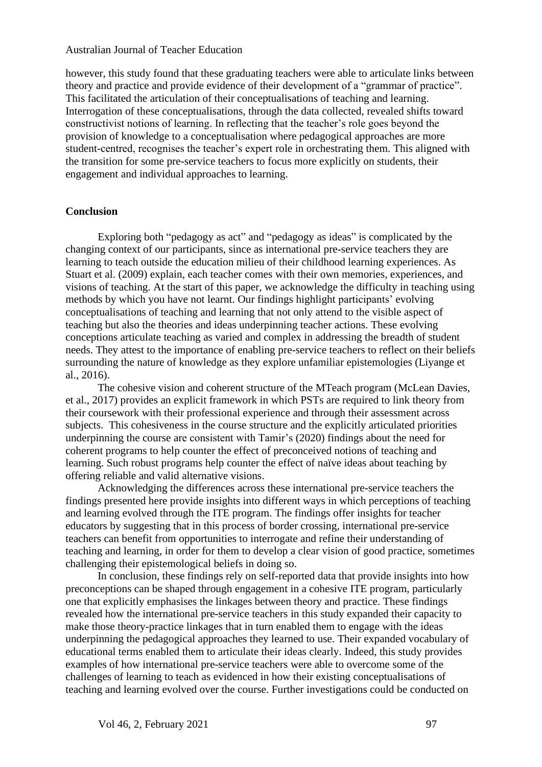however, this study found that these graduating teachers were able to articulate links between theory and practice and provide evidence of their development of a "grammar of practice". This facilitated the articulation of their conceptualisations of teaching and learning. Interrogation of these conceptualisations, through the data collected, revealed shifts toward constructivist notions of learning. In reflecting that the teacher's role goes beyond the provision of knowledge to a conceptualisation where pedagogical approaches are more student-centred, recognises the teacher's expert role in orchestrating them. This aligned with the transition for some pre-service teachers to focus more explicitly on students, their engagement and individual approaches to learning.

## **Conclusion**

Exploring both "pedagogy as act" and "pedagogy as ideas" is complicated by the changing context of our participants, since as international pre-service teachers they are learning to teach outside the education milieu of their childhood learning experiences. As Stuart et al. (2009) explain, each teacher comes with their own memories, experiences, and visions of teaching. At the start of this paper, we acknowledge the difficulty in teaching using methods by which you have not learnt. Our findings highlight participants' evolving conceptualisations of teaching and learning that not only attend to the visible aspect of teaching but also the theories and ideas underpinning teacher actions. These evolving conceptions articulate teaching as varied and complex in addressing the breadth of student needs. They attest to the importance of enabling pre-service teachers to reflect on their beliefs surrounding the nature of knowledge as they explore unfamiliar epistemologies (Liyange et al., 2016).

The cohesive vision and coherent structure of the MTeach program (McLean Davies, et al., 2017) provides an explicit framework in which PSTs are required to link theory from their coursework with their professional experience and through their assessment across subjects. This cohesiveness in the course structure and the explicitly articulated priorities underpinning the course are consistent with Tamir's (2020) findings about the need for coherent programs to help counter the effect of preconceived notions of teaching and learning. Such robust programs help counter the effect of naïve ideas about teaching by offering reliable and valid alternative visions.

Acknowledging the differences across these international pre-service teachers the findings presented here provide insights into different ways in which perceptions of teaching and learning evolved through the ITE program. The findings offer insights for teacher educators by suggesting that in this process of border crossing, international pre-service teachers can benefit from opportunities to interrogate and refine their understanding of teaching and learning, in order for them to develop a clear vision of good practice, sometimes challenging their epistemological beliefs in doing so.

In conclusion, these findings rely on self-reported data that provide insights into how preconceptions can be shaped through engagement in a cohesive ITE program, particularly one that explicitly emphasises the linkages between theory and practice. These findings revealed how the international pre-service teachers in this study expanded their capacity to make those theory-practice linkages that in turn enabled them to engage with the ideas underpinning the pedagogical approaches they learned to use. Their expanded vocabulary of educational terms enabled them to articulate their ideas clearly. Indeed, this study provides examples of how international pre-service teachers were able to overcome some of the challenges of learning to teach as evidenced in how their existing conceptualisations of teaching and learning evolved over the course. Further investigations could be conducted on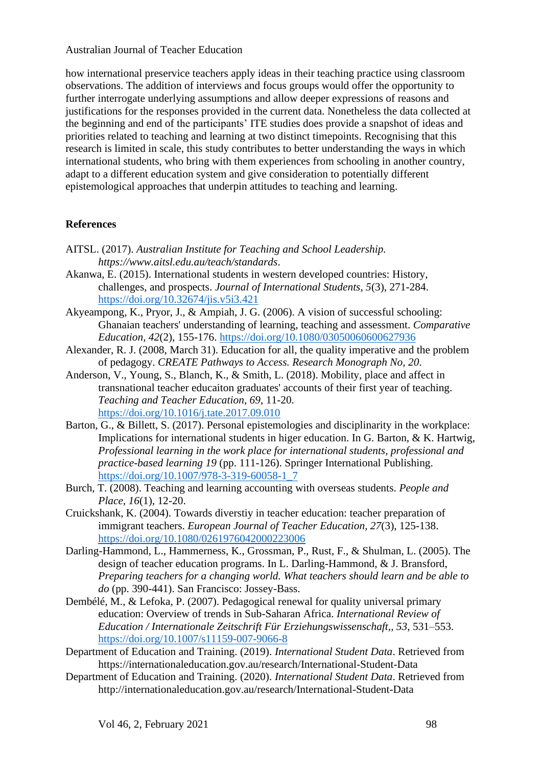how international preservice teachers apply ideas in their teaching practice using classroom observations. The addition of interviews and focus groups would offer the opportunity to further interrogate underlying assumptions and allow deeper expressions of reasons and justifications for the responses provided in the current data. Nonetheless the data collected at the beginning and end of the participants' ITE studies does provide a snapshot of ideas and priorities related to teaching and learning at two distinct timepoints. Recognising that this research is limited in scale, this study contributes to better understanding the ways in which international students, who bring with them experiences from schooling in another country, adapt to a different education system and give consideration to potentially different epistemological approaches that underpin attitudes to teaching and learning.

## **References**

- AITSL. (2017). *Australian Institute for Teaching and School Leadership. https://www.aitsl.edu.au/teach/standards*.
- Akanwa, E. (2015). International students in western developed countries: History, challenges, and prospects. *Journal of International Students, 5*(3), 271-284. <https://doi.org/10.32674/jis.v5i3.421>
- Akyeampong, K., Pryor, J., & Ampiah, J. G. (2006). A vision of successful schooling: Ghanaian teachers' understanding of learning, teaching and assessment. *Comparative Education, 42*(2), 155-176.<https://doi.org/10.1080/03050060600627936>
- Alexander, R. J. (2008, March 31). Education for all, the quality imperative and the problem of pedagogy. *CREATE Pathways to Access. Research Monograph No, 20*.
- Anderson, V., Young, S., Blanch, K., & Smith, L. (2018). Mobility, place and affect in transnational teacher educaiton graduates' accounts of their first year of teaching. *Teaching and Teacher Education, 69*, 11-20. <https://doi.org/10.1016/j.tate.2017.09.010>
- Barton, G., & Billett, S. (2017). Personal epistemologies and disciplinarity in the workplace: Implications for international students in higer education. In G. Barton, & K. Hartwig, *Professional learning in the work place for international students, professional and practice-based learning 19* (pp. 111-126). Springer International Publishing. [https://doi.org/10.1007/978-3-319-60058-1\\_7](https://doi.org/10.1007/978-3-319-60058-1_7)
- Burch, T. (2008). Teaching and learning accounting with overseas students. *People and Place, 16*(1), 12-20.
- Cruickshank, K. (2004). Towards diverstiy in teacher education: teacher preparation of immigrant teachers. *European Journal of Teacher Education, 27*(3), 125-138. <https://doi.org/10.1080/0261976042000223006>
- Darling-Hammond, L., Hammerness, K., Grossman, P., Rust, F., & Shulman, L. (2005). The design of teacher education programs. In L. Darling-Hammond, & J. Bransford, *Preparing teachers for a changing world. What teachers should learn and be able to do* (pp. 390-441). San Francisco: Jossey-Bass.
- Dembélé, M., & Lefoka, P. (2007). Pedagogical renewal for quality universal primary education: Overview of trends in Sub-Saharan Africa. *International Review of Education / Internationale Zeitschrift Für Erziehungswissenschaft,, 53*, 531–553. <https://doi.org/10.1007/s11159-007-9066-8>
- Department of Education and Training. (2019). *International Student Data*. Retrieved from https://internationaleducation.gov.au/research/International-Student-Data
- Department of Education and Training. (2020). *International Student Data*. Retrieved from http://internationaleducation.gov.au/research/International-Student-Data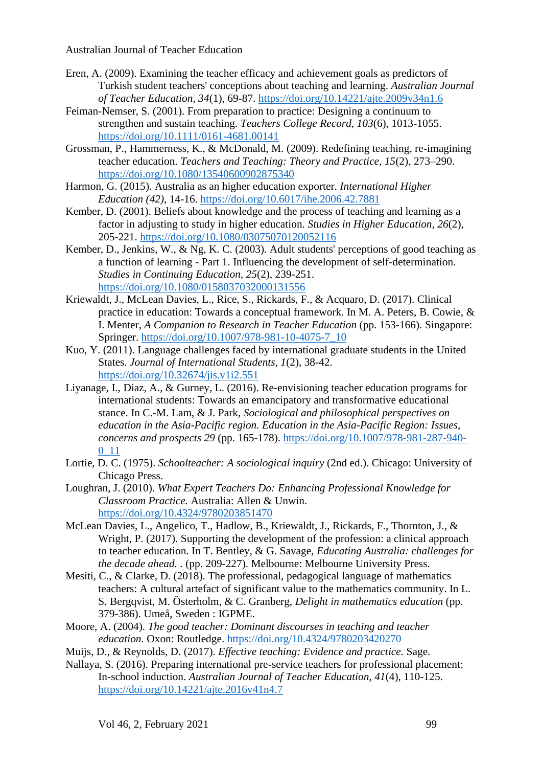- Eren, A. (2009). Examining the teacher efficacy and achievement goals as predictors of Turkish student teachers' conceptions about teaching and learning. *Australian Journal of Teacher Education, 34*(1), 69-87. <https://doi.org/10.14221/ajte.2009v34n1.6>
- Feiman-Nemser, S. (2001). From preparation to practice: Designing a continuum to strengthen and sustain teaching. *Teachers College Record, 103*(6), 1013-1055. <https://doi.org/10.1111/0161-4681.00141>
- Grossman, P., Hammerness, K., & McDonald, M. (2009). Redefining teaching, re-imagining teacher education. *Teachers and Teaching: Theory and Practice, 15*(2), 273–290. <https://doi.org/10.1080/13540600902875340>
- Harmon, G. (2015). Australia as an higher education exporter. *International Higher Education (42)*, 14-16. <https://doi.org/10.6017/ihe.2006.42.7881>
- Kember, D. (2001). Beliefs about knowledge and the process of teaching and learning as a factor in adjusting to study in higher education. *Studies in Higher Education, 26*(2), 205-221. <https://doi.org/10.1080/03075070120052116>
- Kember, D., Jenkins, W., & Ng, K. C. (2003). Adult students' perceptions of good teaching as a function of learning - Part 1. Influencing the development of self-determination. *Studies in Continuing Education, 25*(2), 239-251. <https://doi.org/10.1080/0158037032000131556>
- Kriewaldt, J., McLean Davies, L., Rice, S., Rickards, F., & Acquaro, D. (2017). Clinical practice in education: Towards a conceptual framework. In M. A. Peters, B. Cowie, & I. Menter, *A Companion to Research in Teacher Education* (pp. 153-166). Singapore: Springer. [https://doi.org/10.1007/978-981-10-4075-7\\_10](https://doi.org/10.1007/978-981-10-4075-7_10)
- Kuo, Y. (2011). Language challenges faced by international graduate students in the United States. *Journal of International Students, 1*(2), 38-42. <https://doi.org/10.32674/jis.v1i2.551>
- Liyanage, I., Diaz, A., & Gurney, L. (2016). Re-envisioning teacher education programs for international students: Towards an emancipatory and transformative educational stance. In C.-M. Lam, & J. Park, *Sociological and philosophical perspectives on education in the Asia-Pacific region. Education in the Asia-Pacific Region: Issues, concerns and prospects 29* (pp. 165-178). [https://doi.org/10.1007/978-981-287-940-](https://doi.org/10.1007/978-981-287-940-0_11) [0\\_11](https://doi.org/10.1007/978-981-287-940-0_11)
- Lortie, D. C. (1975). *Schoolteacher: A sociological inquiry* (2nd ed.). Chicago: University of Chicago Press.
- Loughran, J. (2010). *What Expert Teachers Do: Enhancing Professional Knowledge for Classroom Practice.* Australia: Allen & Unwin. <https://doi.org/10.4324/9780203851470>
- McLean Davies, L., Angelico, T., Hadlow, B., Kriewaldt, J., Rickards, F., Thornton, J., & Wright, P. (2017). Supporting the development of the profession: a clinical approach to teacher education. In T. Bentley, & G. Savage, *Educating Australia: challenges for the decade ahead. .* (pp. 209-227). Melbourne: Melbourne University Press.
- Mesiti, C., & Clarke, D. (2018). The professional, pedagogical language of mathematics teachers: A cultural artefact of significant value to the mathematics community. In L. S. Bergqvist, M. Österholm, & C. Granberg, *Delight in mathematics education* (pp. 379-386). Umeå, Sweden : IGPME.
- Moore, A. (2004). *The good teacher: Dominant discourses in teaching and teacher education.* Oxon: Routledge. <https://doi.org/10.4324/9780203420270>
- Muijs, D., & Reynolds, D. (2017). *Effective teaching: Evidence and practice.* Sage.
- Nallaya, S. (2016). Preparing international pre-service teachers for professional placement: In-school induction. *Australian Journal of Teacher Education, 41*(4), 110-125. <https://doi.org/10.14221/ajte.2016v41n4.7>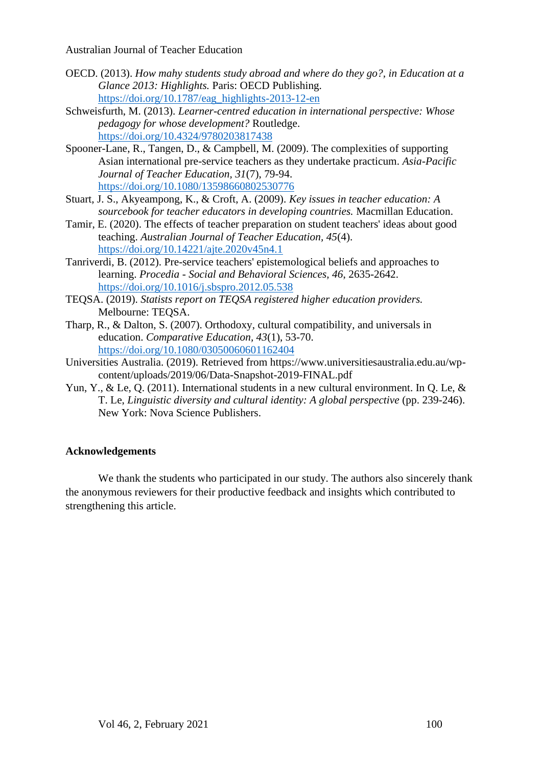- OECD. (2013). *How mahy students study abroad and where do they go?, in Education at a Glance 2013: Highlights.* Paris: OECD Publishing. [https://doi.org/10.1787/eag\\_highlights-2013-12-en](https://doi.org/10.1787/eag_highlights-2013-12-en)
- Schweisfurth, M. (2013). *Learner-centred education in international perspective: Whose pedagogy for whose development?* Routledge. <https://doi.org/10.4324/9780203817438>
- Spooner-Lane, R., Tangen, D., & Campbell, M. (2009). The complexities of supporting Asian international pre-service teachers as they undertake practicum. *Asia-Pacific Journal of Teacher Education, 31*(7), 79-94. <https://doi.org/10.1080/13598660802530776>
- Stuart, J. S., Akyeampong, K., & Croft, A. (2009). *Key issues in teacher education: A sourcebook for teacher educators in developing countries.* Macmillan Education.
- Tamir, E. (2020). The effects of teacher preparation on student teachers' ideas about good teaching. *Australian Journal of Teacher Education, 45*(4). <https://doi.org/10.14221/ajte.2020v45n4.1>
- Tanriverdi, B. (2012). Pre-service teachers' epistemological beliefs and approaches to learning. *Procedia - Social and Behavioral Sciences, 46*, 2635-2642. <https://doi.org/10.1016/j.sbspro.2012.05.538>
- TEQSA. (2019). *Statists report on TEQSA registered higher education providers.* Melbourne: TEQSA.
- Tharp, R., & Dalton, S. (2007). Orthodoxy, cultural compatibility, and universals in education. *Comparative Education, 43*(1), 53-70. <https://doi.org/10.1080/03050060601162404>
- Universities Australia. (2019). Retrieved from https://www.universitiesaustralia.edu.au/wpcontent/uploads/2019/06/Data-Snapshot-2019-FINAL.pdf
- Yun, Y., & Le, Q. (2011). International students in a new cultural environment. In Q. Le, & T. Le, *Linguistic diversity and cultural identity: A global perspective* (pp. 239-246). New York: Nova Science Publishers.

## **Acknowledgements**

We thank the students who participated in our study. The authors also sincerely thank the anonymous reviewers for their productive feedback and insights which contributed to strengthening this article.